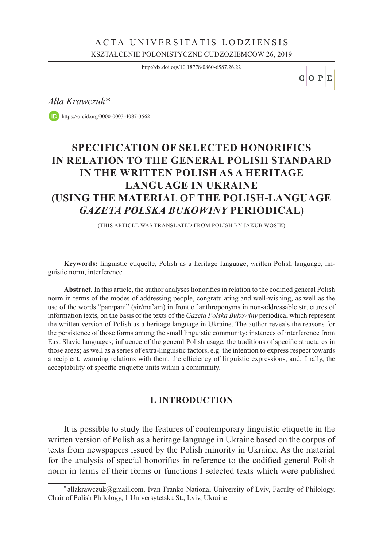## KSZTAŁCENIE POLONISTYCZNE CUDZOZIEMCÓW 26, 2019 ACTA UNIVERSITATIS LODZIENSIS

<http://dx.doi.org/10.18778/0860-6587.26.22>

 $C$  O  $P$  E

*Ałła Krawczuk\**

<https://orcid.org/0000-0003-4087-3562>

# **SPECIFICATION OF SELECTED HONORIFICS IN RELATION TO THE GENERAL POLISH STANDARD IN THE WRITTEN POLISH AS A HERITAGE LANGUAGE IN UKRAINE (USING THE MATERIAL OF THE POLISH-LANGUAGE** *GAZETA POLSKA BUKOWINY* **PERIODICAL)**

(This article was translated from Polish by Jakub Wosik)

**Keywords:** linguistic etiquette, Polish as a heritage language, written Polish language, linguistic norm, interference

**Abstract.** In this article, the author analyses honorifics in relation to the codified general Polish norm in terms of the modes of addressing people, congratulating and well-wishing, as well as the use of the words "pan/pani" (sir/ma'am) in front of anthroponyms in non-addressable structures of information texts, on the basis of the texts of the *Gazeta Polska Bukowiny* periodical which represent the written version of Polish as a heritage language in Ukraine. The author reveals the reasons for the persistence of those forms among the small linguistic community: instances of interference from East Slavic languages; influence of the general Polish usage; the traditions of specific structures in those areas; as well as a series of extra-linguistic factors, e.g. the intention to express respect towards a recipient, warming relations with them, the efficiency of linguistic expressions, and, finally, the acceptability of specific etiquette units within a community.

#### **1. INTRODUCTION**

It is possible to study the features of contemporary linguistic etiquette in the written version of Polish as a heritage language in Ukraine based on the corpus of texts from newspapers issued by the Polish minority in Ukraine. As the material for the analysis of special honorifics in reference to the codified general Polish norm in terms of their forms or functions I selected texts which were published

<sup>\*</sup> allakrawczuk@gmail.com, Ivan Franko National University of Lviv, Faculty of Philology, Chair of Polish Philology, 1 Universytetska St., Lviv, Ukraine.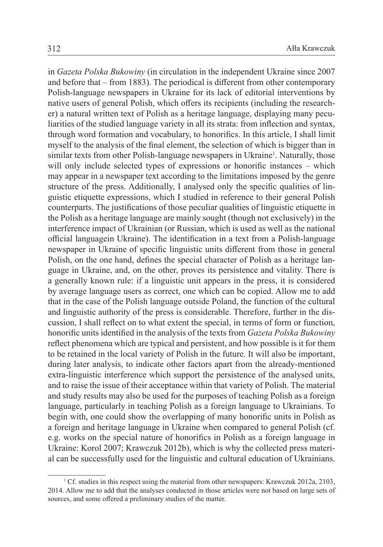in *Gazeta Polska Bukowiny* (in circulation in the independent Ukraine since 2007 and before that – from 1883). The periodical is different from other contemporary Polish-language newspapers in Ukraine for its lack of editorial interventions by native users of general Polish, which offers its recipients (including the researcher) a natural written text of Polish as a heritage language, displaying many peculiarities of the studied language variety in all its strata: from inflection and syntax, through word formation and vocabulary, to honorifics. In this article, I shall limit myself to the analysis of the final element, the selection of which is bigger than in similar texts from other Polish-language newspapers in Ukraine<sup>1</sup>. Naturally, those will only include selected types of expressions or honorific instances – which may appear in a newspaper text according to the limitations imposed by the genre structure of the press. Additionally, I analysed only the specific qualities of linguistic etiquette expressions, which I studied in reference to their general Polish counterparts. The justifications of those peculiar qualities of linguistic etiquette in the Polish as a heritage language are mainly sought (though not exclusively) in the interference impact of Ukrainian (or Russian, which is used as well as the national official languagein Ukraine). The identification in a text from a Polish-language newspaper in Ukraine of specific linguistic units different from those in general Polish, on the one hand, defines the special character of Polish as a heritage language in Ukraine, and, on the other, proves its persistence and vitality. There is a generally known rule: if a linguistic unit appears in the press, it is considered by average language users as correct, one which can be copied. Allow me to add that in the case of the Polish language outside Poland, the function of the cultural and linguistic authority of the press is considerable. Therefore, further in the discussion, I shall reflect on to what extent the special, in terms of form or function, honorific units identified in the analysis of the texts from *Gazeta Polska Bukowiny* reflect phenomena which are typical and persistent, and how possible is it for them to be retained in the local variety of Polish in the future. It will also be important, during later analysis, to indicate other factors apart from the already-mentioned extra-linguistic interference which support the persistence of the analysed units, and to raise the issue of their acceptance within that variety of Polish. The material and study results may also be used for the purposes of teaching Polish as a foreign language, particularly in teaching Polish as a foreign language to Ukrainians. To begin with, one could show the overlapping of many honorific units in Polish as a foreign and heritage language in Ukraine when compared to general Polish (cf. e.g. works on the special nature of honorifics in Polish as a foreign language in Ukraine: Korol 2007; Krawczuk 2012b), which is why the collected press material can be successfully used for the linguistic and cultural education of Ukrainians.

<sup>1</sup> Cf. studies in this respect using the material from other newspapers: Krawczuk 2012a, 2103, 2014. Allow me to add that the analyses conducted in those articles were not based on large sets of sources, and some offered a preliminary studies of the matter.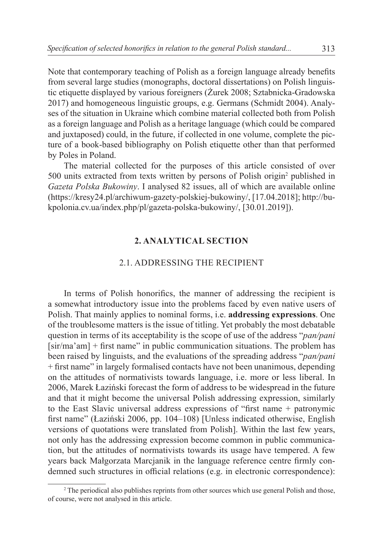Note that contemporary teaching of Polish as a foreign language already benefits from several large studies (monographs, doctoral dissertations) on Polish linguistic etiquette displayed by various foreigners (Żurek 2008; Sztabnicka-Gradowska 2017) and homogeneous linguistic groups, e.g. Germans (Schmidt 2004). Analyses of the situation in Ukraine which combine material collected both from Polish as a foreign language and Polish as a heritage language (which could be compared and juxtaposed) could, in the future, if collected in one volume, complete the picture of a book-based bibliography on Polish etiquette other than that performed by Poles in Poland.

The material collected for the purposes of this article consisted of over 500 units extracted from texts written by persons of Polish origin<sup>2</sup> published in *Gazeta Polska Bukowiny*. I analysed 82 issues, all of which are available online (https://kresy24.pl/archiwum-gazety-polskiej-bukowiny/, [17.04.2018]; http://bukpolonia.cv.ua/index.php/pl/gazeta-polska-bukowiny/, [30.01.2019]).

#### **2. ANALYTICAL SECTION**

#### 2.1. Addressing the recipient

In terms of Polish honorifics, the manner of addressing the recipient is a somewhat introductory issue into the problems faced by even native users of Polish. That mainly applies to nominal forms, i.e. **addressing expressions**. One of the troublesome matters is the issue of titling. Yet probably the most debatable question in terms of its acceptability is the scope of use of the address "*pan/pani* [sir/ma'am] + first name" in public communication situations. The problem has been raised by linguists, and the evaluations of the spreading address "*pan/pani* + first name" in largely formalised contacts have not been unanimous, depending on the attitudes of normativists towards language, i.e. more or less liberal. In 2006, Marek Łaziński forecast the form of address to be widespread in the future and that it might become the universal Polish addressing expression, similarly to the East Slavic universal address expressions of "first name + patronymic first name" (Łaziński 2006, pp. 104–108) [Unless indicated otherwise, English versions of quotations were translated from Polish]. Within the last few years, not only has the addressing expression become common in public communication, but the attitudes of normativists towards its usage have tempered. A few years back Małgorzata Marcjanik in the language reference centre firmly condemned such structures in official relations (e.g. in electronic correspondence):

<sup>&</sup>lt;sup>2</sup> The periodical also publishes reprints from other sources which use general Polish and those, of course, were not analysed in this article.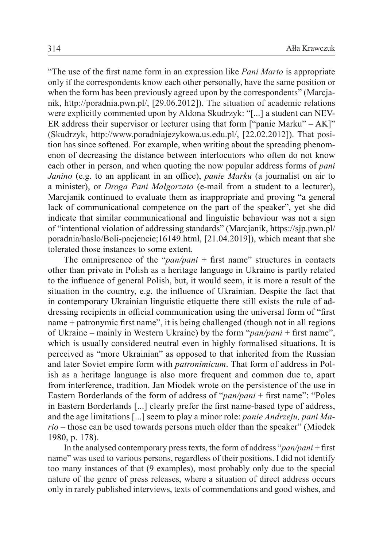"The use of the first name form in an expression like *Pani Marto* is appropriate only if the correspondents know each other personally, have the same position or when the form has been previously agreed upon by the correspondents" (Marcjanik, http://poradnia.pwn.pl/, [29.06.2012]). The situation of academic relations were explicitly commented upon by Aldona Skudrzyk: "[...] a student can NEV-ER address their supervisor or lecturer using that form  $\lceil$  "panie Marku" – AK]" (Skudrzyk, <http://www.poradniajezykowa.us.edu.pl/>, [22.02.2012]). That position has since softened. For example, when writing about the spreading phenomenon of decreasing the distance between interlocutors who often do not know each other in person, and when quoting the now popular address forms of *pani Janino* (e.g. to an applicant in an office), *panie Marku* (a journalist on air to a minister), or *Droga Pani Małgorzato* (e-mail from a student to a lecturer), Marcjanik continued to evaluate them as inappropriate and proving "a general lack of communicational competence on the part of the speaker", yet she did indicate that similar communicational and linguistic behaviour was not a sign of "intentional violation of addressing standards" (Marcjanik, https://sjp.pwn.pl/ poradnia/haslo/Boli-pacjencie;16149.html, [21.04.2019]), which meant that she tolerated those instances to some extent.

The omnipresence of the "*pan/pani* + first name" structures in contacts other than private in Polish as a heritage language in Ukraine is partly related to the influence of general Polish, but, it would seem, it is more a result of the situation in the country, e.g. the influence of Ukrainian. Despite the fact that in contemporary Ukrainian linguistic etiquette there still exists the rule of addressing recipients in official communication using the universal form of "first name + patronymic first name", it is being challenged (though not in all regions of Ukraine – mainly in Western Ukraine) by the form "*pan/pani* + first name", which is usually considered neutral even in highly formalised situations. It is perceived as "more Ukrainian" as opposed to that inherited from the Russian and later Soviet empire form with *patronimicum*. That form of address in Polish as a heritage language is also more frequent and common due to, apart from interference, tradition. Jan Miodek wrote on the persistence of the use in Eastern Borderlands of the form of address of "*pan/pani* + first name": "Poles in Eastern Borderlands [...] clearly prefer the first name-based type of address, and the age limitations [...] seem to play a minor role: *panie Andrzeju, pani Mario* – those can be used towards persons much older than the speaker" (Miodek 1980, p. 178).

In the analysed contemporary press texts, the form of address "*pan/pani* + first name" was used to various persons, regardless of their positions. I did not identify too many instances of that (9 examples), most probably only due to the special nature of the genre of press releases, where a situation of direct address occurs only in rarely published interviews, texts of commendations and good wishes, and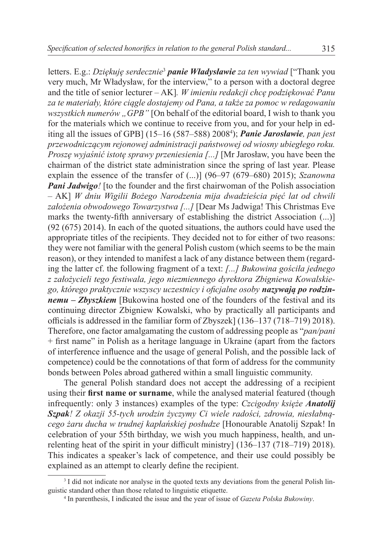letters. E.g.: *Dziękuję serdecznie*<sup>3</sup> *panie Władysławie za ten wywiad* ["Thank you very much, Mr Władysław, for the interview," to a person with a doctoral degree and the title of senior lecturer – AK]*. W imieniu redakcji chcę podziękować Panu za te materiały, które ciągle dostajemy od Pana, a także za pomoc w redagowaniu*  wszystkich numerów "GPB" [On behalf of the editorial board, I wish to thank you for the materials which we continue to receive from you, and for your help in editing all the issues of GPB] (15–16 (587–588) 20084 ); *Panie Jarosławie, pan jest przewodniczącym rejonowej administracji państwowej od wiosny ubiegłego roku. Proszę wyjaśnić istotę sprawy przeniesienia [...]* [Mr Jarosław, you have been the chairman of the district state administration since the spring of last year. Please explain the essence of the transfer of (...)] (96–97 (679–680) 2015); *Szanowna Pani Jadwigo* [to the founder and the first chairwoman of the Polish association – AK] *W dniu Wigilii Bożego Narodzenia mija dwadzieścia pięć lat od chwili założenia obwodowego Towarzystwa [...]* [Dear Ms Jadwiga! This Christmas Eve marks the twenty-fifth anniversary of establishing the district Association (...)] (92 (675) 2014). In each of the quoted situations, the authors could have used the appropriate titles of the recipients. They decided not to for either of two reasons: they were not familiar with the general Polish custom (which seems to be the main reason), or they intended to manifest a lack of any distance between them (regarding the latter cf. the following fragment of a text: *[...] Bukowina gościła jednego z założycieli tego festiwala, jego niezmiennego dyrektora Zbigniewa Kowalskiego, którego praktycznie wszyscy uczestnicy i oficjalne osoby nazywają po rodzinnemu – Zbyszkiem* [Bukowina hosted one of the founders of the festival and its continuing director Zbigniew Kowalski, who by practically all participants and officials is addressed in the familiar form of Zbyszek] (136–137 (718–719) 2018). Therefore, one factor amalgamating the custom of addressing people as "*pan/pani* + first name" in Polish as a heritage language in Ukraine (apart from the factors of interference influence and the usage of general Polish, and the possible lack of competence) could be the connotations of that form of address for the community bonds between Poles abroad gathered within a small linguistic community.

The general Polish standard does not accept the addressing of a recipient using their **first name or surname**, while the analysed material featured (though infrequently: only 3 instances) examples of the type: *Czcigodny księże Anatolij Szpak! Z okazji 55-tych urodzin życzymy Ci wiele radości, zdrowia, niesłabnącego żaru ducha w trudnej kapłańskiej posłudze* [Honourable Anatolij Szpak! In celebration of your 55th birthday, we wish you much happiness, health, and unrelenting heat of the spirit in your difficult ministry] (136–137 (718–719) 2018). This indicates a speaker's lack of competence, and their use could possibly be explained as an attempt to clearly define the recipient.

<sup>&</sup>lt;sup>3</sup> I did not indicate nor analyse in the quoted texts any deviations from the general Polish linguistic standard other than those related to linguistic etiquette.

<sup>4</sup> In parenthesis, I indicated the issue and the year of issue of *Gazeta Polska Bukowiny*.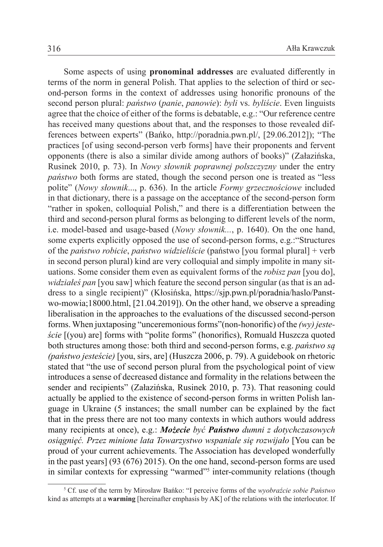Some aspects of using **pronominal addresses** are evaluated differently in terms of the norm in general Polish. That applies to the selection of third or second-person forms in the context of addresses using honorific pronouns of the second person plural: *państwo* (*panie*, *panowie*): *byli* vs. *byliście*. Even linguists agree that the choice of either of the forms is debatable, e.g.: "Our reference centre has received many questions about that, and the responses to those revealed differences between experts" (Bańko, [http://poradnia.pwn.pl/,](http://poradnia.pwn.pl/) [29.06.2012]); "The practices [of using second-person verb forms] have their proponents and fervent opponents (there is also a similar divide among authors of books)" (Załazińska, Rusinek 2010, p. 73). In *Nowy słownik poprawnej polszczyzny* under the entry *państwo* both forms are stated, though the second person one is treated as "less polite" (*Nowy słownik*..., p. 636). In the article *Formy grzecznościowe* included in that dictionary, there is a passage on the acceptance of the second-person form "rather in spoken, colloquial Polish," and there is a differentiation between the third and second-person plural forms as belonging to different levels of the norm, i.e. model-based and usage-based (*Nowy słownik...*, p. 1640). On the one hand, some experts explicitly opposed the use of second-person forms, e.g.:"Structures of the *państwo robicie*, *państwo widzieliście* (państwo [you formal plural] + verb in second person plural) kind are very colloquial and simply impolite in many situations. Some consider them even as equivalent forms of the *robisz pan* [you do], *widziałeś pan* [you saw] which feature the second person singular (as that is an address to a single recipient)" (Kłosińska, [https://sjp.pwn.pl/poradnia/haslo/Panst](https://sjp.pwn.pl/poradnia/haslo/Panstwo-mowia;18000.html)[wo-mowia;18000.html](https://sjp.pwn.pl/poradnia/haslo/Panstwo-mowia;18000.html), [21.04.2019]). On the other hand, we observe a spreading liberalisation in the approaches to the evaluations of the discussed second-person forms. When juxtaposing "unceremonious forms"(non-honorific) of the *(wy) jesteście* [(you) are] forms with "polite forms" (honorifics), Romuald Huszcza quoted both structures among those: both third and second-person forms, e.g. *państwo są (państwo jesteście)* [you, sirs, are] (Huszcza 2006, p. 79). A guidebook on rhetoric stated that "the use of second person plural from the psychological point of view introduces a sense of decreased distance and formality in the relations between the sender and recipients" (Załazińska, Rusinek 2010, p. 73). That reasoning could actually be applied to the existence of second-person forms in written Polish language in Ukraine (5 instances; the small number can be explained by the fact that in the press there are not too many contexts in which authors would address many recipients at once), e.g.: *Możecie być Państwo dumni z dotychczasowych osiągnięć. Przez minione lata Towarzystwo wspaniale się rozwijało* [You can be proud of your current achievements. The Association has developed wonderfully in the past years] (93 (676) 2015). On the one hand, second-person forms are used in similar contexts for expressing "warmed"<sup>5</sup> inter-community relations (though

<sup>5</sup> Cf. use of the term by Mirosław Bańko: "I perceive forms of the *wyobraźcie sobie Państwo* kind as attempts at a **warming** [hereinafter emphasis by AK] of the relations with the interlocutor. If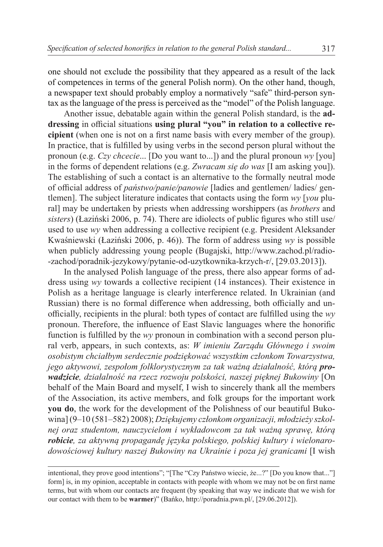one should not exclude the possibility that they appeared as a result of the lack of competences in terms of the general Polish norm). On the other hand, though, a newspaper text should probably employ a normatively "safe" third-person syntax as the language of the press is perceived as the "model" of the Polish language.

Another issue, debatable again within the general Polish standard, is the **addressing** in official situations **using plural "you" in relation to a collective recipient** (when one is not on a first name basis with every member of the group). In practice, that is fulfilled by using verbs in the second person plural without the pronoun (e.g. *Czy chcecie*... [Do you want to...]) and the plural pronoun *wy* [you] in the forms of dependent relations (e.g. *Zwracam się do was* [I am asking you]). The establishing of such a contact is an alternative to the formally neutral mode of official address of *państwo/panie/panowie* [ladies and gentlemen/ ladies/ gentlemen]. The subject literature indicates that contacts using the form *wy* [*you* plural] may be undertaken by priests when addressing worshippers (as *brothers* and *sisters*) (Łaziński 2006, p. 74). There are idiolects of public figures who still use/ used to use *wy* when addressing a collective recipient (e.g. President Aleksander Kwaśniewski (Łaziński 2006, p. 46)). The form of address using *wy* is possible when publicly addressing young people (Bugajski, http://www.zachod.pl/radio- -zachod/poradnik-jezykowy/pytanie-od-uzytkownika-krzych-r/, [29.03.2013]).

In the analysed Polish language of the press, there also appear forms of address using *wy* towards a collective recipient (14 instances). Their existence in Polish as a heritage language is clearly interference related. In Ukrainian (and Russian) there is no formal difference when addressing, both officially and unofficially, recipients in the plural: both types of contact are fulfilled using the *wy* pronoun. Therefore, the influence of East Slavic languages where the honorific function is fulfilled by the *wy* pronoun in combination with a second person plural verb, appears, in such contexts, as: *W imieniu Zarządu Głównego i swoim osobistym chciałbym serdecznie podziękować wszystkim członkom Towarzystwa, jego aktywowi, zespołom folklorystycznym za tak ważną działalność, którą prowadzicie, działalność na rzecz rozwoju polskości, naszej pięknej Bukowiny* [On behalf of the Main Board and myself, I wish to sincerely thank all the members of the Association, its active members, and folk groups for the important work **you do**, the work for the development of the Polishness of our beautiful Bukowina] (9–10 (581–582) 2008); *Dziękujemy członkom organizacji, młodzieży szkolnej oraz studentom, nauczycielom i wykładowcom za tak ważną sprawę, którą robicie, za aktywną propagandę języka polskiego, polskiej kultury i wielonarodowościowej kultury naszej Bukowiny na Ukrainie i poza jej granicami* [I wish

intentional, they prove good intentions"; "[The "Czy Państwo wiecie, że...?" [Do you know that..."] form] is, in my opinion, acceptable in contacts with people with whom we may not be on first name terms, but with whom our contacts are frequent (by speaking that way we indicate that we wish for our contact with them to be **warmer**)" (Bańko, http://poradnia.pwn.pl/, [29.06.2012]).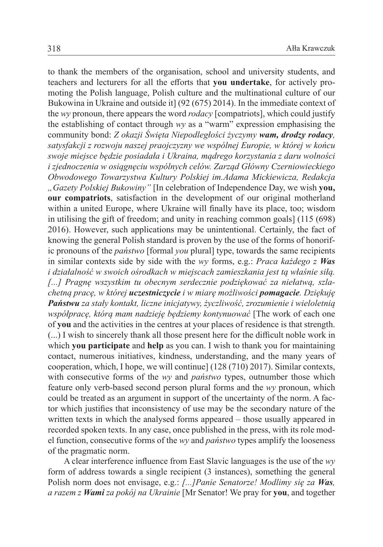to thank the members of the organisation, school and university students, and teachers and lecturers for all the efforts that **you undertake**, for actively promoting the Polish language, Polish culture and the multinational culture of our Bukowina in Ukraine and outside it] (92 (675) 2014). In the immediate context of the *wy* pronoun, there appears the word *rodacy* [compatriots], which could justify the establishing of contact through *wy* as a "warm" expression emphasising the community bond: *Z okazji Święta Niepodległości życzymy wam, drodzy rodacy, satysfakcji z rozwoju naszej praojczyzny we wspólnej Europie, w której w końcu swoje miejsce będzie posiadała i Ukraina, mądrego korzystania z daru wolności i zjednoczenia w osiągnęciu wspólnych celów. Zarząd Główny Czerniowieckiego Obwodowego Towarzystwa Kultury Polskiej im.Adama Mickiewicza, Redakcja "Gazety Polskiej Bukowiny"* [In celebration of Independence Day, we wish **you, our compatriots**, satisfaction in the development of our original motherland within a united Europe, where Ukraine will finally have its place, too; wisdom in utilising the gift of freedom; and unity in reaching common goals] (115 (698) 2016). However, such applications may be unintentional. Certainly, the fact of knowing the general Polish standard is proven by the use of the forms of honorific pronouns of the *państwo* [formal *you* plural] type, towards the same recipients in similar contexts side by side with the *wy* forms, e.g.: *Praca każdego z Was i działalność w swoich ośrodkach w miejscach zamieszkania jest tą właśnie siłą. [...] Pragnę wszystkim tu obecnym serdecznie podziękować za niełatwą, szlachetną pracę, w której uczestniczycie i w miarę możliwości pomagacie. Dziękuję Państwu za stały kontakt, liczne inicjatywy, życzliwość, zrozumienie i wieloletnią współpracę, którą mam nadzieję będziemy kontynuować* [The work of each one of **you** and the activities in the centres at your places of residence is that strength. (...) I wish to sincerely thank all those present here for the difficult noble work in which **you participate** and **help** as you can. I wish to thank you for maintaining contact, numerous initiatives, kindness, understanding, and the many years of cooperation, which, I hope, we will continue] (128 (710) 2017). Similar contexts, with consecutive forms of the *wy* and *państwo* types, outnumber those which feature only verb-based second person plural forms and the *wy* pronoun, which could be treated as an argument in support of the uncertainty of the norm. A factor which justifies that inconsistency of use may be the secondary nature of the written texts in which the analysed forms appeared – those usually appeared in recorded spoken texts. In any case, once published in the press, with its role model function, consecutive forms of the *wy* and *państwo* types amplify the looseness of the pragmatic norm.

A clear interference influence from East Slavic languages is the use of the *wy* form of address towards a single recipient (3 instances), something the general Polish norm does not envisage, e.g.: *[...]Panie Senatorze! Modlimy się za Was, a razem z Wami za pokój na Ukrainie* [Mr Senator! We pray for **you**, and together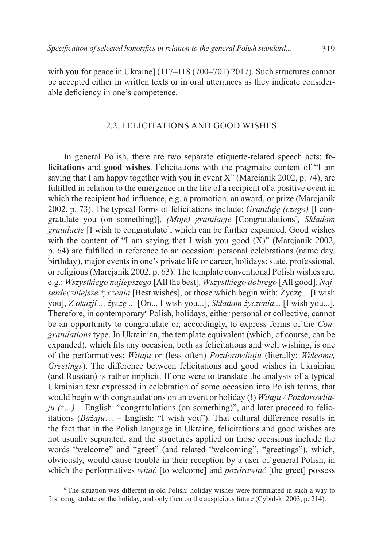with **you** for peace in Ukraine] (117–118 (700–701) 2017). Such structures cannot be accepted either in written texts or in oral utterances as they indicate considerable deficiency in one's competence.

#### 2.2. Felicitations and good wishes

In general Polish, there are two separate etiquette-related speech acts: **felicitations** and **good wishes**. Felicitations with the pragmatic content of "I am saying that I am happy together with you in event X" (Marcjanik 2002, p. 74), are fulfilled in relation to the emergence in the life of a recipient of a positive event in which the recipient had influence, e.g. a promotion, an award, or prize (Marcjanik 2002, p. 73). The typical forms of felicitations include: *Gratuluję (czego)* [I congratulate you (on something)]*, (Moje) gratulacje* [Congratulations]*, Składam gratulacje* [I wish to congratulate], which can be further expanded. Good wishes with the content of "I am saying that I wish you good (X)" (Marcjanik 2002, p. 64) are fulfilled in reference to an occasion: personal celebrations (name day, birthday), major events in one's private life or career, holidays: state, professional, or religious (Marcjanik 2002, p. 63). The template conventional Polish wishes are, e.g.: *Wszystkiego najlepszego* [All the best]*, Wszystkiego dobrego* [All good]*, Najserdeczniejsze życzenia* [Best wishes], or those which begin with: Życzę*...* [I wish you], *Z okazji ... życzę ...* [On... I wish you...], *Składam życzenia...* [I wish you...]*.*  Therefore, in contemporary<sup>6</sup> Polish, holidays, either personal or collective, cannot be an opportunity to congratulate or, accordingly, to express forms of the *Congratulations* type. In Ukrainian, the template equivalent (which, of course, can be expanded), which fits any occasion, both as felicitations and well wishing, is one of the performatives: *Witaju* or (less often) *Pozdorowliaju* (literally: *Welcome, Greetings*). The difference between felicitations and good wishes in Ukrainian (and Russian) is rather implicit. If one were to translate the analysis of a typical Ukrainian text expressed in celebration of some occasion into Polish terms, that would begin with congratulations on an event or holiday (!) *Witaju / Pozdorowlia* $ju (z...)$  – English: "congratulations (on something)", and later proceed to felicitations (*Bażaju*… – English: "I wish you"). That cultural difference results in the fact that in the Polish language in Ukraine, felicitations and good wishes are not usually separated, and the structures applied on those occasions include the words "welcome" and "greet" (and related "welcoming", "greetings"), which, obviously, would cause trouble in their reception by a user of general Polish, in which the performatives *witać* [to welcome] and *pozdrawiać* [the greet] possess

<sup>6</sup> The situation was different in old Polish: holiday wishes were formulated in such a way to first congratulate on the holiday, and only then on the auspicious future (Cybulski 2003, p. 214).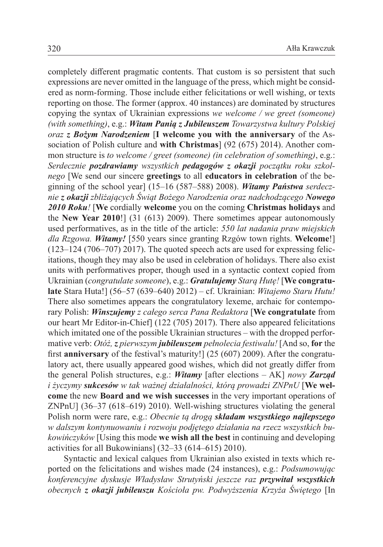completely different pragmatic contents. That custom is so persistent that such expressions are never omitted in the language of the press, which might be considered as norm-forming. Those include either felicitations or well wishing, or texts reporting on those. The former (approx. 40 instances) are dominated by structures copying the syntax of Ukrainian expressions *we welcome / we greet (someone) (with something)*, e.g.: *Witam Panią z Jubileuszem Towarzystwa kultury Polskiej oraz z Bożym Narodzeniem* [**I welcome you with the anniversary** of the Association of Polish culture and **with Christmas**] (92 (675) 2014). Another common structure is *to welcome / greet (someone) (in celebration of something)*, e.g.: *Serdecznie pozdrawiamy wszystkich pedagogów z okazji początku roku szkolnego* [We send our sincere **greetings** to all **educators in celebration** of the beginning of the school year] (15–16 (587–588) 2008). *Witamy Państwa serdecznie z okazji zbliżających Świąt Bożego Narodzenia oraz nadchodzącego Nowego 2010 Roku!* [**We** cordially **welcome** you on the coming **Christmas holidays** and the **New Year 2010**!] (31 (613) 2009). There sometimes appear autonomously used performatives, as in the title of the article: *550 lat nadania praw miejskich dla Rzgowa. Witamy!* [550 years since granting Rzgów town rights. **Welcome**!]  $(123-124)$  (706–707) 2017). The quoted speech acts are used for expressing felicitations, though they may also be used in celebration of holidays. There also exist units with performatives proper, though used in a syntactic context copied from Ukrainian (*congratulate someone*), e.g.: *Gratulujemy Starą Hutę!* [**We congratulate** Stara Huta!] (56–57 (639–640) 2012) – cf. Ukrainian: *Witajemo Staru Hutu!* There also sometimes appears the congratulatory lexeme, archaic for contemporary Polish: *Winszujemy z całego serca Pana Redaktora* [**We congratulate** from our heart Mr Editor-in-Chief] (122 (705) 2017). There also appeared felicitations which imitated one of the possible Ukrainian structures – with the dropped performative verb: *Otóż, z pierwszym jubileuszem pełnolecia festiwalu!* [And so, **for** the first **anniversary** of the festival's maturity!] (25 (607) 2009). After the congratulatory act, there usually appeared good wishes, which did not greatly differ from the general Polish structures, e.g.: *Witamy* [after elections – AK] *nowy Zarząd i życzymy sukcesów w tak ważnej działalności, którą prowadzi ZNPnU* [**We welcome** the new **Board and we wish successes** in the very important operations of ZNPnU] (36–37 (618–619) 2010). Well-wishing structures violating the general Polish norm were rare, e.g.: *Obecnie tą drogą składam wszystkiego najlepszego w dalszym kontynuowaniu i rozwoju podjętego działania na rzecz wszystkich bukowińczyków* [Using this mode **we wish all the best** in continuing and developing activities for all Bukowinians] (32–33 (614–615) 2010).

Syntactic and lexical calques from Ukrainian also existed in texts which reported on the felicitations and wishes made (24 instances), e.g.: *Podsumowując konferencyjne dyskusje Władysław Strutyński jeszcze raz przywitał wszystkich obecnych z okazji jubileuszu Kościoła pw. Podwyższenia Krzyża Świętego* [In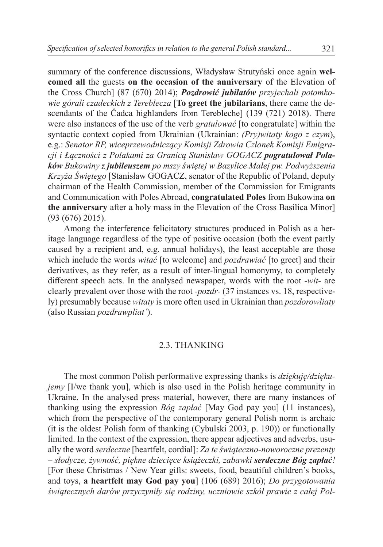summary of the conference discussions, Władysław Strutyński once again **welcomed all** the guests **on the occasion of the anniversary** of the Elevation of the Cross Church] (87 (670) 2014); *Pozdrowić jubilatów przyjechali potomkowie górali czadeckich z Tereblecza* [**To greet the jubilarians**, there came the descendants of the Čadca highlanders from Terebleche] (139 (721) 2018). There were also instances of the use of the verb *gratulować* [to congratulate] within the syntactic context copied from Ukrainian (Ukrainian: *(Pry)witaty kogo z czym*), e.g.: *Senator RP, wiceprzewodniczący Komisji Zdrowia Członek Komisji Emigracji i Łączności z Polakami za Granicą Stanisław GOGACZ pogratulował Polaków Bukowiny z jubileuszem po mszy świętej w Bazylice Małej pw. Podwyższenia Krzyża Świętego* [Stanisław GOGACZ, senator of the Republic of Poland, deputy chairman of the Health Commission, member of the Commission for Emigrants and Communication with Poles Abroad, **congratulated Poles** from Bukowina **on the anniversary** after a holy mass in the Elevation of the Cross Basilica Minor] (93 (676) 2015).

Among the interference felicitatory structures produced in Polish as a heritage language regardless of the type of positive occasion (both the event partly caused by a recipient and, e.g. annual holidays), the least acceptable are those which include the words *witać* [to welcome] and *pozdrawiać* [to greet] and their derivatives, as they refer, as a result of inter-lingual homonymy, to completely different speech acts. In the analysed newspaper, words with the root *-wit-* are clearly prevalent over those with the root *-pozdr-* (37 instances vs. 18, respectively) presumably because *witaty* is more often used in Ukrainian than *pozdorowliaty* (also Russian *pozdrawpliat'*).

#### 2.3. Thanking

The most common Polish performative expressing thanks is *dziękuję/dziękujemy* [I/we thank you], which is also used in the Polish heritage community in Ukraine. In the analysed press material, however, there are many instances of thanking using the expression *Bóg zapłać* [May God pay you] (11 instances), which from the perspective of the contemporary general Polish norm is archaic (it is the oldest Polish form of thanking (Cybulski 2003, p. 190)) or functionally limited. In the context of the expression, there appear adjectives and adverbs, usually the word *serdeczne* [heartfelt, cordial]: *Za te świąteczno-noworoczne prezenty – słodycze, żywność, piękne dziecięce książeczki, zabawki serdeczne Bóg zapłać!* [For these Christmas / New Year gifts: sweets, food, beautiful children's books, and toys, **a heartfelt may God pay you**] (106 (689) 2016); *Do przygotowania świątecznych darów przyczyniły się rodziny, uczniowie szkół prawie z całej Pol-*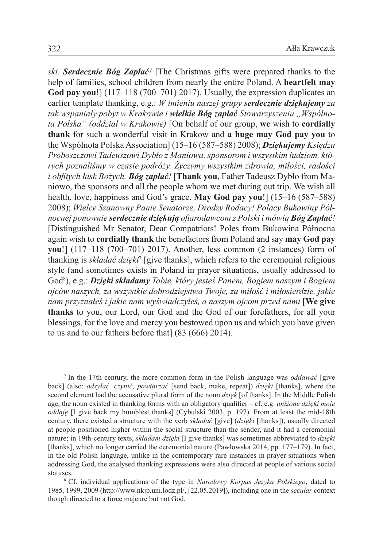*ski. Serdecznie Bóg Zapłać!* [The Christmas gifts were prepared thanks to the help of families, school children from nearly the entire Poland. A **heartfelt may God pay you**!] (117–118 (700–701) 2017). Usually, the expression duplicates an earlier template thanking, e.g.: *W imieniu naszej grupy serdecznie dziękujemy za tak wspaniały pobyt w Krakowie i wielkie Bóg zapłać Stowarzyszeniu "Wspólnota Polska" (oddział w Krakowie)* [On behalf of our group, **we** wish to **cordially thank** for such a wonderful visit in Krakow and **a huge may God pay you** to the Wspólnota Polska Association] (15–16 (587–588) 2008); *Dziękujemy Księdzu Proboszczowi Tadeuszowi Dybło z Maniowa, sponsorom i wszystkim ludziom, których poznaliśmy w czasie podróży. Życzymy wszystkim zdrowia, miłości, radości i obfitych łask Bożych. Bóg zapłać!* [**Thank you**, Father Tadeusz Dybło from Maniowo, the sponsors and all the people whom we met during out trip. We wish all health, love, happiness and God's grace. **May God pay you**!] (15–16 (587–588) 2008); *Wielce Szanowny Panie Senatorze, Drodzy Rodacy! Polacy Bukowiny Północnej ponownie serdecznie dziękują ofiarodawcom z Polski i mówią Bóg Zapłać!*  [Distinguished Mr Senator, Dear Compatriots! Poles from Bukowina Północna again wish to **cordially thank** the benefactors from Poland and say **may God pay you**!] (117–118 (700–701) 2017). Another, less common (2 instances) form of thanking is *składać dzięki*<sup>7</sup> [give thanks], which refers to the ceremonial religious style (and sometimes exists in Poland in prayer situations, usually addressed to God8 ), e.g.: *Dzięki składamy Tobie, który jesteś Panem, Bogiem naszym i Bogiem ojców naszych, za wszystkie dobrodziejstwa Twoje, za miłość i miłosierdzie, jakie nam przyznałeś i jakie nam wyświadczyłeś, a naszym ojcom przed nami* [**We give thanks** to you, our Lord, our God and the God of our forefathers, for all your blessings, for the love and mercy you bestowed upon us and which you have given to us and to our fathers before that] (83 (666) 2014).

<sup>7</sup> In the 17th century, the more common form in the Polish language was *oddawać* [give back] (also: *odsyłać, czynić, powtarzać* [send back, make, repeat]) *dzięki* [thanks], where the second element had the accusative plural form of the noun *dzięk* [of thanks]. In the Middle Polish age, the noun existed in thanking forms with an obligatory qualifier – cf. e.g. *uniżone dzięki moje oddaję* [I give back my humblest thanks] (Cybulski 2003, p. 197). From at least the mid-18th century, there existed a structure with the verb *składać* [give] (*dzięki* [thanks]), usually directed at people positioned higher within the social structure than the sender, and it had a ceremonial nature; in 19th-century texts, *składam dzięki* [I give thanks] was sometimes abbreviated to *dzięki* [thanks], which no longer carried the ceremonial nature (Pawłowska 2014, pp. 177–179). In fact, in the old Polish language, unlike in the contemporary rare instances in prayer situations when addressing God, the analysed thanking expressions were also directed at people of various social statuses.

<sup>8</sup> Cf. individual applications of the type in *Narodowy Korpus Języka Polskiego*, dated to 1985, 1999, 2009 (http://www.nkjp.uni.lodz.pl/, [22.05.2019]), including one in the *secular* context though directed to a force majeure but not God.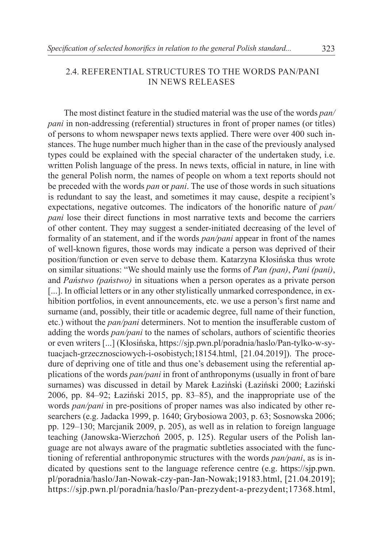### 2.4. Referential structures to the words pan/pani in news releases

The most distinct feature in the studied material was the use of the words *pan/ pani* in non-addressing (referential) structures in front of proper names (or titles) of persons to whom newspaper news texts applied. There were over 400 such instances. The huge number much higher than in the case of the previously analysed types could be explained with the special character of the undertaken study, i.e. written Polish language of the press. In news texts, official in nature, in line with the general Polish norm, the names of people on whom a text reports should not be preceded with the words *pan* or *pani*. The use of those words in such situations is redundant to say the least, and sometimes it may cause, despite a recipient's expectations, negative outcomes. The indicators of the honorific nature of *pan/ pani* lose their direct functions in most narrative texts and become the carriers of other content. They may suggest a sender-initiated decreasing of the level of formality of an statement, and if the words *pan/pani* appear in front of the names of well-known figures, those words may indicate a person was deprived of their position/function or even serve to debase them. Katarzyna Kłosińska thus wrote on similar situations: "We should mainly use the forms of *Pan (pan)*, *Pani (pani)*, and *Państwo (państwo)* in situations when a person operates as a private person [...]. In official letters or in any other stylistically unmarked correspondence, in exhibition portfolios, in event announcements, etc. we use a person's first name and surname (and, possibly, their title or academic degree, full name of their function, etc.) without the *pan/pani* determiners. Not to mention the insufferable custom of adding the words *pan/pani* to the names of scholars, authors of scientific theories or even writers [...] (Kłosińska, https://sjp.pwn.pl/poradnia/haslo/Pan-tylko-w-sytuacjach-grzecznosciowych-i-osobistych;18154.html, [21.04.2019]). The procedure of depriving one of title and thus one's debasement using the referential applications of the words *pan/pani* in front of anthroponyms (usually in front of bare surnames) was discussed in detail by Marek Łaziński (Łaziński 2000; Łaziński 2006, pp. 84–92; Łaziński 2015, pp. 83–85), and the inappropriate use of the words *pan/pani* in pre-positions of proper names was also indicated by other researchers (e.g. Jadacka 1999, p. 1640; Grybosiowa 2003, p. 63; Sosnowska 2006; pp. 129–130; Marcjanik 2009, p. 205), as well as in relation to foreign language teaching (Janowska-Wierzchoń 2005, p. 125). Regular users of the Polish language are not always aware of the pragmatic subtleties associated with the functioning of referential anthroponymic structures with the words *pan/pani*, as is indicated by questions sent to the language reference centre (e.g. [https://sjp.pwn.](https://sjp.pwn.pl/poradnia/haslo/Jan-Nowak-czy-pan-Jan-Nowak;19183.html) [pl/poradnia/haslo/Jan-Nowak-czy-pan-Jan-Nowak;19183.html](https://sjp.pwn.pl/poradnia/haslo/Jan-Nowak-czy-pan-Jan-Nowak;19183.html), [21.04.2019]; <https://sjp.pwn.pl/poradnia/haslo/Pan-prezydent-a-prezydent;17368.html>,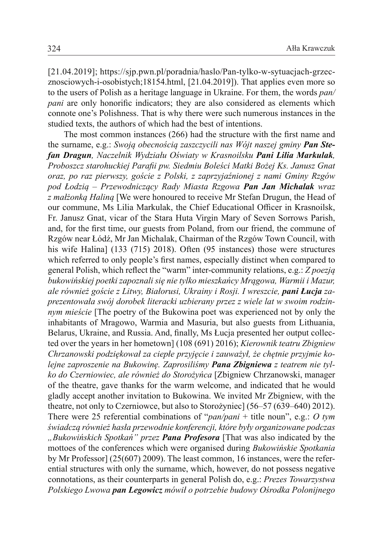[21.04.2019]; https://sjp.pwn.pl/poradnia/haslo/Pan-tylko-w-sytuacjach-grzecznosciowych-i-osobistych;18154.html, [21.04.2019]). That applies even more so to the users of Polish as a heritage language in Ukraine. For them, the words *pan/ pani* are only honorific indicators; they are also considered as elements which connote one's Polishness. That is why there were such numerous instances in the studied texts, the authors of which had the best of intentions.

The most common instances (266) had the structure with the first name and the surname, e.g.: *Swoją obecnością zaszczycili nas Wójt naszej gminy Pan Stefan Dragun, Naczelnik Wydziału Oświaty w Krasnoilsku Pani Lilia Markulak, Proboszcz starohuckiej Parafii pw. Siedmiu Boleści Matki Bożej Ks. Janusz Gnat oraz, po raz pierwszy, goście z Polski, z zaprzyjaźnionej z nami Gminy Rzgów pod Łodzią – Przewodniczący Rady Miasta Rzgowa Pan Jan Michalak wraz z małżonką Haliną* [We were honoured to receive Mr Stefan Drugun, the Head of our commune, Ms Lilia Markulak, the Chief Educational Officer in Krasnoilsk, Fr. Janusz Gnat, vicar of the Stara Huta Virgin Mary of Seven Sorrows Parish, and, for the first time, our guests from Poland, from our friend, the commune of Rzgów near Łódź, Mr Jan Michalak, Chairman of the Rzgów Town Council, with his wife Halina] (133 (715) 2018). Often (95 instances) those were structures which referred to only people's first names, especially distinct when compared to general Polish, which reflect the "warm" inter-community relations, e.g.: *Z poezją bukowińskiej poetki zapoznali się nie tylko mieszkańcy Mrągowa, Warmii i Mazur, ale również goście z Litwy, Białorusi, Ukrainy i Rosji. I wreszcie, pani Łucja zaprezentowała swój dorobek literacki uzbierany przez z wiele lat w swoim rodzinnym mieście* [The poetry of the Bukowina poet was experienced not by only the inhabitants of Mragowo, Warmia and Masuria, but also guests from Lithuania, Belarus, Ukraine, and Russia. And, finally, Ms Łucja presented her output collected over the years in her hometown] (108 (691) 2016); *Kierownik teatru Zbigniew Chrzanowski podziękował za ciepłe przyjęcie i zauważył, że chętnie przyjmie kolejne zaproszenie na Bukowinę. Zaprosiliśmy Pana Zbigniewa z teatrem nie tylko do Czerniowiec, ale również do Storożyńca* [Zbigniew Chrzanowski, manager of the theatre, gave thanks for the warm welcome, and indicated that he would gladly accept another invitation to Bukowina. We invited Mr Zbigniew, with the theatre, not only to Czerniowce, but also to Storożyniec] (56–57 (639–640) 2012). There were 25 referential combinations of "*pan/pani* + title noun", e.g.: *O tym świadczą również hasła przewodnie konferencji, które były organizowane podczas "Bukowińskich Spotkań" przez Pana Profesora* [That was also indicated by the mottoes of the conferences which were organised during *Bukowińskie Spotkania*  by Mr Professor] (25(607) 2009). The least common, 16 instances, were the referential structures with only the surname, which, however, do not possess negative connotations, as their counterparts in general Polish do, e.g.: *Prezes Towarzystwa Polskiego Lwowa pan Legowicz mówił o potrzebie budowy Ośrodka Polonijnego*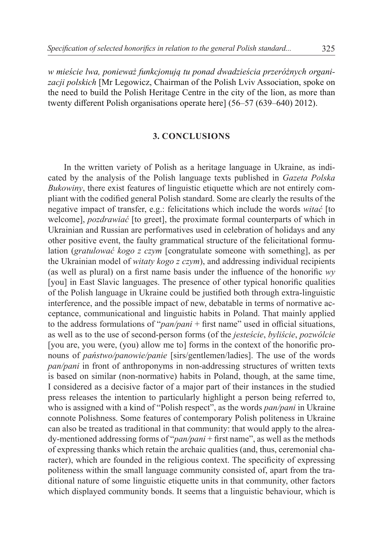*w mieście lwa, ponieważ funkcjonują tu ponad dwadzieścia przeróżnych organizacji polskich* [Mr Legowicz, Chairman of the Polish Lviv Association, spoke on the need to build the Polish Heritage Centre in the city of the lion, as more than twenty different Polish organisations operate here] (56–57 (639–640) 2012).

#### **3. CONCLUSIONS**

In the written variety of Polish as a heritage language in Ukraine, as indicated by the analysis of the Polish language texts published in *Gazeta Polska Bukowiny*, there exist features of linguistic etiquette which are not entirely compliant with the codified general Polish standard. Some are clearly the results of the negative impact of transfer, e.g.: felicitations which include the words *witać* [to welcome], *pozdrawiać* [to greet], the proximate formal counterparts of which in Ukrainian and Russian are performatives used in celebration of holidays and any other positive event, the faulty grammatical structure of the felicitational formulation (*gratulować kogo z czym* [congratulate someone with something], as per the Ukrainian model of *witaty kogo z czym*), and addressing individual recipients (as well as plural) on a first name basis under the influence of the honorific *wy* [you] in East Slavic languages. The presence of other typical honorific qualities of the Polish language in Ukraine could be justified both through extra-linguistic interference, and the possible impact of new, debatable in terms of normative acceptance, communicational and linguistic habits in Poland. That mainly applied to the address formulations of "*pan/pani* + first name" used in official situations, as well as to the use of second-person forms (of the *jesteście*, *byliście*, *pozwólcie* [you are, you were, (you) allow me to] forms in the context of the honorific pronouns of *państwo/panowie/panie* [sirs/gentlemen/ladies]. The use of the words *pan/pani* in front of anthroponyms in non-addressing structures of written texts is based on similar (non-normative) habits in Poland, though, at the same time, I considered as a decisive factor of a major part of their instances in the studied press releases the intention to particularly highlight a person being referred to, who is assigned with a kind of "Polish respect", as the words *pan/pani* in Ukraine connote Polishness. Some features of contemporary Polish politeness in Ukraine can also be treated as traditional in that community: that would apply to the already-mentioned addressing forms of "*pan/pani* + first name", as well as the methods of expressing thanks which retain the archaic qualities (and, thus, ceremonial character), which are founded in the religious context. The specificity of expressing politeness within the small language community consisted of, apart from the traditional nature of some linguistic etiquette units in that community, other factors which displayed community bonds. It seems that a linguistic behaviour, which is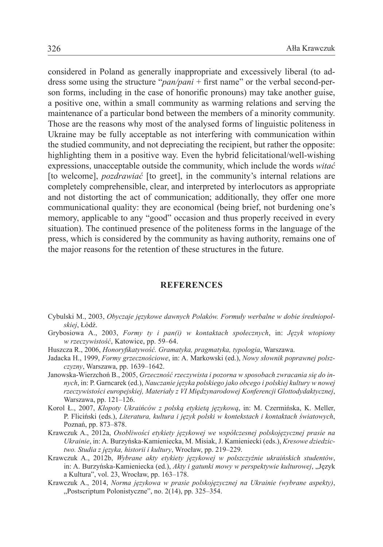considered in Poland as generally inappropriate and excessively liberal (to address some using the structure "*pan/pani* + first name" or the verbal second-person forms, including in the case of honorific pronouns) may take another guise, a positive one, within a small community as warming relations and serving the maintenance of a particular bond between the members of a minority community. Those are the reasons why most of the analysed forms of linguistic politeness in Ukraine may be fully acceptable as not interfering with communication within the studied community, and not depreciating the recipient, but rather the opposite: highlighting them in a positive way. Even the hybrid felicitational/well-wishing expressions, unacceptable outside the community, which include the words *witać* [to welcome], *pozdrawiać* [to greet], in the community's internal relations are completely comprehensible, clear, and interpreted by interlocutors as appropriate and not distorting the act of communication; additionally, they offer one more communicational quality: they are economical (being brief, not burdening one's memory, applicable to any "good" occasion and thus properly received in every situation). The continued presence of the politeness forms in the language of the press, which is considered by the community as having authority, remains one of the major reasons for the retention of these structures in the future.

#### **REFERENCES**

- Cybulski M., 2003, *Obyczaje językowe dawnych Polaków. Formuły werbalne w dobie średniopolskiej*, Łódź.
- Grybosiowa A., 2003, *Formy ty i pan(i) w kontaktach społecznych*, in: *Język wtopiony w rzeczywistość*, Katowice, pp. 59–64.
- Huszcza R., 2006, *Honoryfikatywość. Gramatyka, pragmatyka, typologia*, Warszawa.
- Jadacka H., 1999, *Formy grzecznościowe*, in: A. Markowski (ed.), *Nowy słownik poprawnej polszczyzny*, Warszawa, pp. 1639–1642.
- Janowska-Wierzchoń B., 2005, *Grzeczność rzeczywista i pozorna w sposobach zwracania się do innych*, in: P. Garncarek (ed.), *Nauczanie języka polskiego jako obcego i polskiej kultury w nowej rzeczywistości europejskiej, Materiały z VI Międzynarodowej Konferencji Glottodydaktycznej*, Warszawa, pp. 121–126.
- Korol Ł., 2007, *Kłopoty Ukraińców z polską etykietą językową*, in: M. Czermińska, K. Meller, P. Fliciński (eds.), *Literatura, kultura i język polski w kontekstach i kontaktach światowych*, Poznań, pp. 873–878.
- Krawczuk A., 2012a, *Osobliwości etykіety językowej we współczesnej polskojęzycznej prasie na Ukrainie*, in: A. Burzyńska-Kamieniecka, M. Misiak, J. Kamieniecki (eds.), *Kresowe dziedzictwo. Studia z języka, historii i kultury*, Wrocław, pp. 219–229.
- Krawczuk A., 2012b, *Wybrane akty etykiety językowej w polszczyźnie ukraińskich studentów*, in: A. Burzyńska-Kamieniecka (ed.), Akty i gatunki mowy w perspektywie kulturowej, "Język a Kultura", vol. 23, Wrocław, pp. 163–178.
- Krawczuk A., 2014, *Norma językowa w prasie polskojęzycznej na Ukrainie (wybrane aspekty)*,  $n$ Postscriptum Polonistyczne", no. 2(14), pp. 325–354.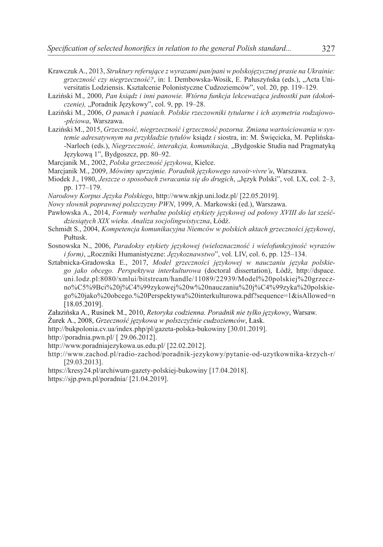- Krawczuk A., 2013, *Struktury referujące z wyrazami pan/pani w polskojęzycznej prasie na Ukrainie: grzeczność czy niegrzeczność?*, in: I. Dembowska-Wosik, E. Pałuszyńska (eds.), "Acta Universitatis Lodziensis. Kształcenie Polonistyczne Cudzoziemców", vol. 20, pp. 119–129.
- Łaziński M., 2000, *Pan ksiądz i inni panowie. Wtórna funkcja lekceważąca jednostki pan (dokoń*czenie), "Poradnik Językowy", col. 9, pp. 19-28.
- Łaziński M., 2006, *O panach i paniach. Polskie rzeczowniki tytularne i ich asymetria rodzajowo- -płciowa*, Warszawa.
- Łaziński M., 2015, *Grzeczność, niegrzeczność i grzeczność pozorna. Zmiana wartościowania w systemie adresatywnym na przykładzie tytułów* ksiądz *i* siostra, in: M. Święcicka, M. Peplińska- -Narloch (eds.), *Niegrzeczność, interakcja, komunikacja,* "Bydgoskie Studia nad Pragmatyką Językową 1", Bydgoszcz, pp. 80–92.
- Marcjanik M., 2002, *Polska grzeczność językowa*, Kielce.
- Marcjanik M., 2009, *Mówimy uprzejmie. Poradnik językowego savoir-vivre'u*, Warszawa.
- Miodek J., 1980, *Jeszcze o sposobach zwracania się do drugich*, "Język Polski", vol. LX, col. 2–3, pp. 177–179.
- *Narodowy Korpus Języka Polskiego*, http://www.nkjp.uni.lodz.pl/ [22.05.2019].
- *Nowy słownik poprawnej polszczyzny PWN*, 1999, A. Markowski (ed.), Warszawa.
- Pawłowska A., 2014, *Formuły werbalne polskiej etykiety językowej od połowy XVIII do lat sześćdziesiątych XIX wieku. Analiza socjolingwistyczna*, Łódź.
- Schmidt S., 2004, *Kompetencja komunikacyjna Niemców w polskich aktach grzeczności językowej*, Pułtusk.
- Sosnowska N., 2006, *Paradoksy etykiety językowej (wieloznaczność i wielofunkcyjność wyrazów i form)*, "Roczniki Humanistyczne: *Językoznawstwo*", vol. LIV, col. 6, pp. 125–134.
- Sztabnicka-Gradowska E., 2017, *Model grzeczności językowej w nauczaniu języka polskiego jako obcego. Perspektywa interkulturowa* (doctoral dissertation), Łódź, http://dspace. uni.lodz.pl:8080/xmlui/bitstream/handle/11089/22939/Model%20polskiej%20grzeczno%C5%9Bci%20j%C4%99zykowej%20w%20nauczaniu%20j%C4%99zyka%20polskiego%20jako%20obcego.%20Perspektywa%20interkulturowa.pdf?sequence=1&isAllowed=n [18.05.2019].
- Załazińska A., Rusinek M., 2010, *Retoryka codzienna. Poradnik nie tylko językowy*, Warsaw.
- Żurek A., 2008, *Grzeczność językowa w polszczyźnie cudzoziemców*, Łask.
- http://bukpolonia.cv.ua/index.php/pl/gazeta-polska-bukowiny [30.01.2019].
- http://poradnia.pwn.pl/ [ 29.06.2012].
- http://www.poradniajezykowa.us.edu.pl/ [22.02.2012].
- http://www.zachod.pl/radio-zachod/poradnik-jezykowy/pytanie-od-uzytkownika-krzych-r/ [29.03.2013].
- https://kresy24.pl/archiwum-gazety-polskiej-bukowiny [17.04.2018].
- https://sjp.pwn.pl/poradnia/ [21.04.2019].